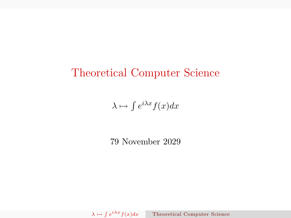### Theoretical Computer Science

 $\lambda \mapsto \int e^{i\lambda x} f(x) dx$ 

<span id="page-0-0"></span>79 November 2029

 $\lambda \mapsto \int e$ [Theoretical Computer Science](#page-12-0)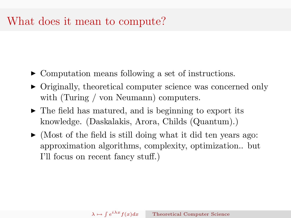### What does it mean to compute?

- ► Computation means following a set of instructions.
- Originally, theoretical computer science was concerned only with (Turing / von Neumann) computers.
- $\triangleright$  The field has matured, and is beginning to export its knowledge. (Daskalakis, Arora, Childs (Quantum).)
- $\blacktriangleright$  (Most of the field is still doing what it did ten years ago: approximation algorithms, complexity, optimization.. but I'll focus on recent fancy stuff.)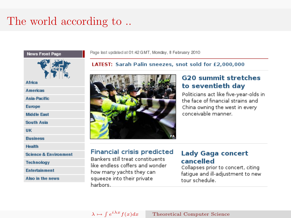# The world according to...



Page last updated at 01:42 GMT, Monday, 8 February 2010

LATEST: Sarah Palin sneezes, snot sold for £2,000,000



#### **G20 summit stretches** to seventieth day

Politicians act like five-vear-olds in the face of financial strains and China owning the west in every conceivable manner.

#### **Financial crisis predicted**

Bankers still treat constituents like endless coffers and wonder how many yachts they can squeeze into their private harbors.

#### **Lady Gaga concert** cancelled

Collapses prior to concert, citing fatique and ill-adjustment to new tour schedule.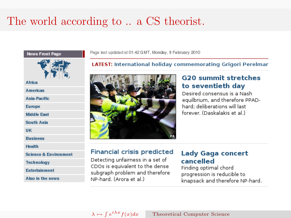# The world according to .. a CS theorist.



Page last updated at 01:42 GMT, Monday, 8 February 2010

**LATEST:** International holiday commemorating Grigori Perelmar



#### **G20 summit stretches** to seventieth day

Desired consensus is a Nash equilbrium, and therefore PPADhard: deliberations will last forever. (Daskalakis et al.)

#### **Financial crisis predicted**

Detecting unfairness in a set of CDOs is equivalent to the dense subgraph problem and therefore NP-hard. (Arora et al.)

#### **Lady Gaga concert** cancelled

Finding optimal chord progression is reducible to knapsack and therefore NP-hard.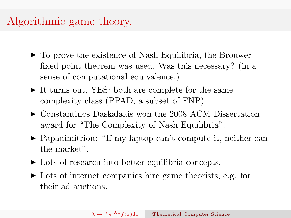### Algorithmic game theory.

- $\triangleright$  To prove the existence of Nash Equilibria, the Brouwer fixed point theorem was used. Was this necessary? (in a sense of computational equivalence.)
- $\triangleright$  It turns out, YES: both are complete for the same complexity class (PPAD, a subset of FNP).
- $\triangleright$  Constantinos Daskalakis won the 2008 ACM Dissertation award for "The Complexity of Nash Equilibria".
- ▶ Papadimitriou: "If my laptop can't compute it, neither can the market".
- $\triangleright$  Lots of research into better equilibria concepts.
- $\triangleright$  Lots of internet companies hire game theorists, e.g. for their ad auctions.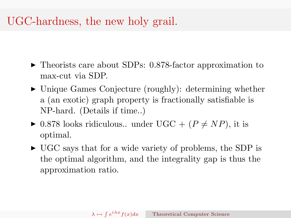## UGC-hardness, the new holy grail.

- ▶ Theorists care about SDPs: 0.878-factor approximation to max-cut via SDP.
- $\triangleright$  Unique Games Conjecture (roughly): determining whether a (an exotic) graph property is fractionally satisfiable is NP-hard. (Details if time..)
- $\triangleright$  0.878 looks ridiculous.. under UGC + ( $P \neq NP$ ), it is optimal.
- $\triangleright$  UGC says that for a wide variety of problems, the SDP is the optimal algorithm, and the integrality gap is thus the approximation ratio.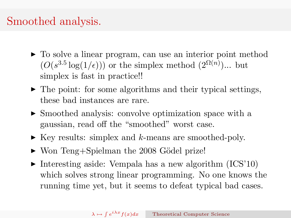## Smoothed analysis.

- $\triangleright$  To solve a linear program, can use an interior point method  $(O(s^{3.5} \log(1/\epsilon)))$  or the simplex method  $(2^{\Omega(n)})...$  but simplex is fast in practice!!
- $\blacktriangleright$  The point: for some algorithms and their typical settings, these bad instances are rare.
- $\triangleright$  Smoothed analysis: convolve optimization space with a gaussian, read off the "smoothed" worst case.
- $\blacktriangleright$  Key results: simplex and k-means are smoothed-poly.
- $\triangleright$  Won Teng+Spielman the 2008 Gödel prize!
- Interesting aside: Vempala has a new algorithm  $(ICS'10)$ which solves strong linear programming. No one knows the running time yet, but it seems to defeat typical bad cases.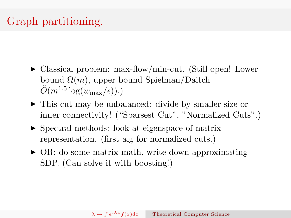# Graph partitioning.

- Classical problem: max-flow/min-cut. (Still open! Lower bound  $\Omega(m)$ , upper bound Spielman/Daitch  $\tilde{O}(m^{1.5}\log(w_{\text{max}}/\epsilon)).$
- $\triangleright$  This cut may be unbalanced: divide by smaller size or inner connectivity! ("Sparsest Cut", "Normalized Cuts".)
- $\triangleright$  Spectral methods: look at eigenspace of matrix representation. (first alg for normalized cuts.)
- $\triangleright$  OR: do some matrix math, write down approximating SDP. (Can solve it with boosting!)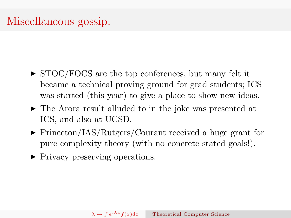## Miscellaneous gossip.

- $\triangleright$  STOC/FOCS are the top conferences, but many felt it became a technical proving ground for grad students; ICS was started (this year) to give a place to show new ideas.
- $\triangleright$  The Arora result alluded to in the joke was presented at ICS, and also at UCSD.
- ▶ Princeton/IAS/Rutgers/Courant received a huge grant for pure complexity theory (with no concrete stated goals!).
- Privacy preserving operations.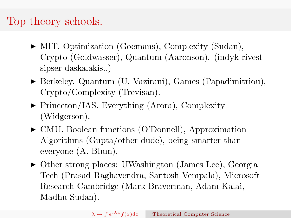## Top theory schools.

- MIT. Optimization (Goemans), Complexity (Sudan), Crypto (Goldwasser), Quantum (Aaronson). (indyk rivest sipser daskalakis..)
- <sup>I</sup> Berkeley. Quantum (U. Vazirani), Games (Papadimitriou), Crypto/Complexity (Trevisan).
- ▶ Princeton/IAS. Everything (Arora), Complexity (Widgerson).
- CMU. Boolean functions (O'Donnell), Approximation Algorithms (Gupta/other dude), being smarter than everyone (A. Blum).
- ▶ Other strong places: UWashington (James Lee), Georgia Tech (Prasad Raghavendra, Santosh Vempala), Microsoft Research Cambridge (Mark Braverman, Adam Kalai, Madhu Sudan).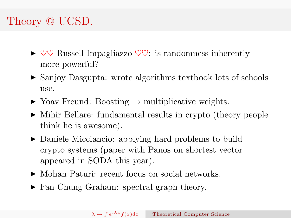# Theory @ UCSD.

- $\triangleright \heartsuit \heartsuit$  Russell Impagliazzo  $\heartsuit \heartsuit$ : is randomness inherently more powerful?
- Sanjoy Dasgupta: wrote algorithms textbook lots of schools use.
- $\triangleright$  Yoav Freund: Boosting  $\rightarrow$  multiplicative weights.
- <sup>I</sup> Mihir Bellare: fundamental results in crypto (theory people think he is awesome).
- $\triangleright$  Daniele Micciancio: applying hard problems to build crypto systems (paper with Panos on shortest vector appeared in SODA this year).
- Mohan Paturi: recent focus on social networks.
- ► Fan Chung Graham: spectral graph theory.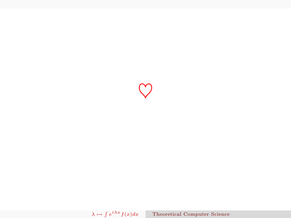$\heartsuit$ 

 $\lambda \mapsto \int e^{\lambda}$ [Theoretical Computer Science](#page-0-0)